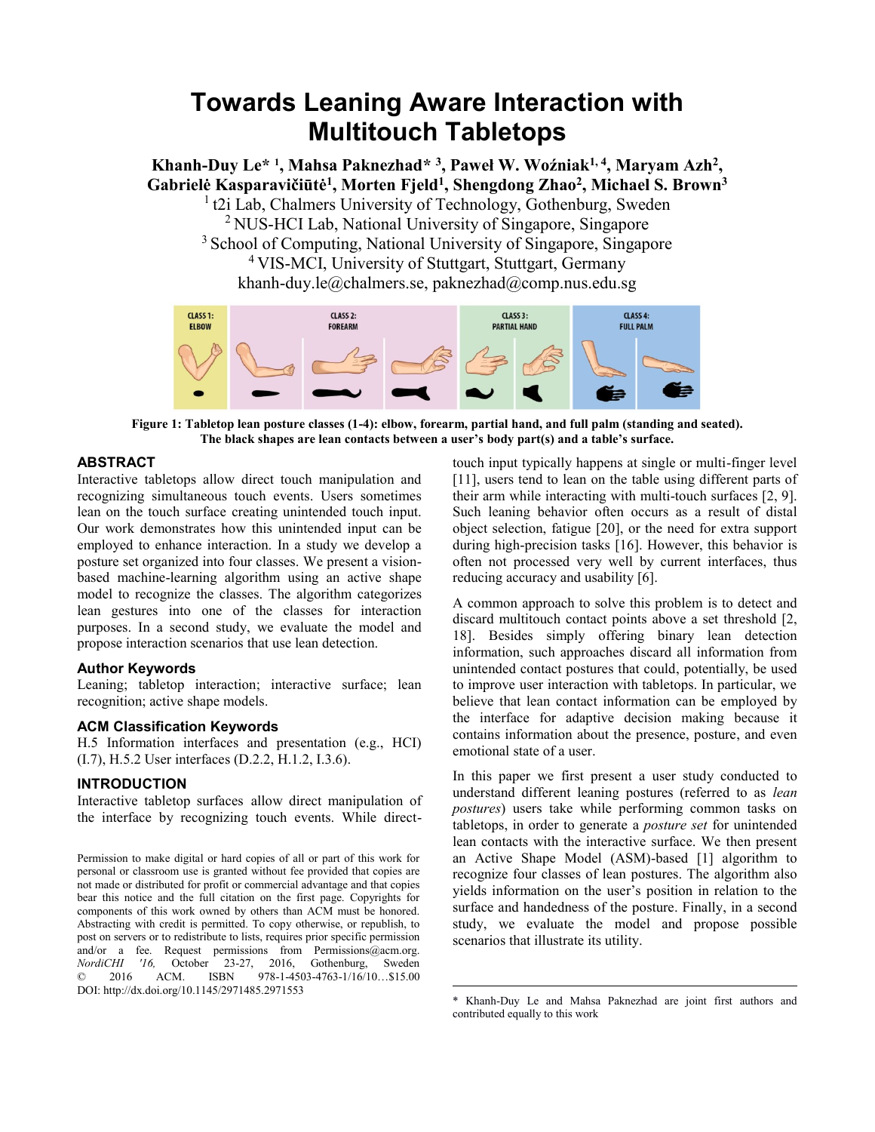# **Towards Leaning Aware Interaction with Multitouch Tabletops**

**Khanh-Duy Le\* <sup>1</sup> , Mahsa Paknezhad\* <sup>3</sup> , Paweł W. Woźniak1, 4 , Maryam Azh<sup>2</sup> , Gabrielė Kasparavičiūtė<sup>1</sup> , Morten Fjeld<sup>1</sup> , Shengdong Zhao<sup>2</sup> , Michael S. Brown<sup>3</sup>** <sup>1</sup> t2i Lab, Chalmers University of Technology, Gothenburg, Sweden <sup>2</sup> NUS-HCI Lab, National University of Singapore, Singapore

<sup>3</sup> School of Computing, National University of Singapore, Singapore <sup>4</sup>VIS-MCI, University of Stuttgart, Stuttgart, Germany khanh-duy.le@chalmers.se, paknezhad@comp.nus.edu.sg



**Figure 1: Tabletop lean posture classes (1-4): elbow, forearm, partial hand, and full palm (standing and seated). The black shapes are lean contacts between a user's body part(s) and a table's surface.**

1

# <span id="page-0-0"></span>**ABSTRACT**

Interactive tabletops allow direct touch manipulation and recognizing simultaneous touch events. Users sometimes lean on the touch surface creating unintended touch input. Our work demonstrates how this unintended input can be employed to enhance interaction. In a study we develop a posture set organized into four classes. We present a visionbased machine-learning algorithm using an active shape model to recognize the classes. The algorithm categorizes lean gestures into one of the classes for interaction purposes. In a second study, we evaluate the model and propose interaction scenarios that use lean detection.

## **Author Keywords**

Leaning; tabletop interaction; interactive surface; lean recognition; active shape models.

## **ACM Classification Keywords**

H.5 Information interfaces and presentation (e.g., HCI) (I.7), H.5.2 User interfaces (D.2.2, H.1.2, I.3.6).

# **INTRODUCTION**

Interactive tabletop surfaces allow direct manipulation of the interface by recognizing touch events. While direct-

 Permission to make digital or hard copies of all or part of this work for personal or classroom use is granted without fee provided that copies are not made or distributed for profit or commercial advantage and that copies bear this notice and the full citation on the first page. Copyrights for components of this work owned by others than ACM must be honored. Abstracting with credit is permitted. To copy otherwise, or republish, to post on servers or to redistribute to lists, requires prior specific permission and/or a fee. Request permissions from Permissions@acm.org. *NordiCHI '16,* October 23-27, 2016, Gothenburg, Sweden © 2016 ACM. ISBN 978-1-4503-4763-1/16/10…\$15.00 DOI: http://dx.doi.org/10.1145/2971485.2971553

touch input typically happens at single or multi-finger level [11], users tend to lean on the table using different parts of their arm while interacting with multi-touch surfaces [2, 9]. Such leaning behavior often occurs as a result of distal object selection, fatigue [20], or the need for extra support during high-precision tasks [16]. However, this behavior is often not processed very well by current interfaces, thus reducing accuracy and usability [6].

A common approach to solve this problem is to detect and discard multitouch contact points above a set threshold [2, 18]. Besides simply offering binary lean detection information, such approaches discard all information from unintended contact postures that could, potentially, be used to improve user interaction with tabletops. In particular, we believe that lean contact information can be employed by the interface for adaptive decision making because it contains information about the presence, posture, and even emotional state of a user.

In this paper we first present a user study conducted to understand different leaning postures (referred to as *lean postures*) users take while performing common tasks on tabletops, in order to generate a *posture set* for unintended lean contacts with the interactive surface. We then present an Active Shape Model (ASM)-based [1] algorithm to recognize four classes of lean postures. The algorithm also yields information on the user's position in relation to the surface and handedness of the posture. Finally, in a second study, we evaluate the model and propose possible scenarios that illustrate its utility.

<sup>\*</sup> Khanh-Duy Le and Mahsa Paknezhad are joint first authors and contributed equally to this work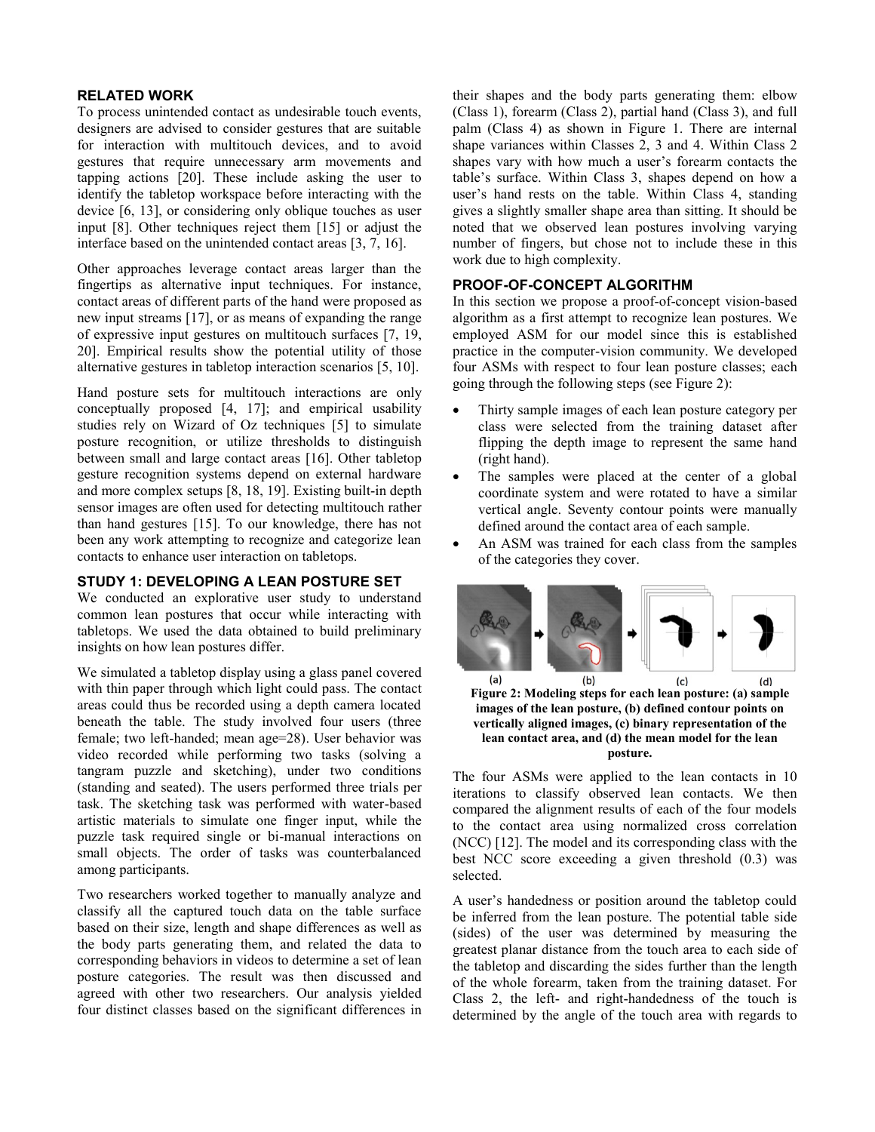## **RELATED WORK**

To process unintended contact as undesirable touch events, designers are advised to consider gestures that are suitable for interaction with multitouch devices, and to avoid gestures that require unnecessary arm movements and tapping actions [20]. These include asking the user to identify the tabletop workspace before interacting with the device [6, 13], or considering only oblique touches as user input [8]. Other techniques reject them [15] or adjust the interface based on the unintended contact areas [3, 7, 16].

Other approaches leverage contact areas larger than the fingertips as alternative input techniques. For instance, contact areas of different parts of the hand were proposed as new input streams [17], or as means of expanding the range of expressive input gestures on multitouch surfaces [7, 19, 20]. Empirical results show the potential utility of those alternative gestures in tabletop interaction scenarios [5, 10].

Hand posture sets for multitouch interactions are only conceptually proposed [4, 17]; and empirical usability studies rely on Wizard of Oz techniques [5] to simulate posture recognition, or utilize thresholds to distinguish between small and large contact areas [16]. Other tabletop gesture recognition systems depend on external hardware and more complex setups [8, 18, 19]. Existing built-in depth sensor images are often used for detecting multitouch rather than hand gestures [15]. To our knowledge, there has not been any work attempting to recognize and categorize lean contacts to enhance user interaction on tabletops.

## **STUDY 1: DEVELOPING A LEAN POSTURE SET**

We conducted an explorative user study to understand common lean postures that occur while interacting with tabletops. We used the data obtained to build preliminary insights on how lean postures differ.

We simulated a tabletop display using a glass panel covered with thin paper through which light could pass. The contact areas could thus be recorded using a depth camera located beneath the table. The study involved four users (three female; two left-handed; mean age=28). User behavior was video recorded while performing two tasks (solving a tangram puzzle and sketching), under two conditions (standing and seated). The users performed three trials per task. The sketching task was performed with water-based artistic materials to simulate one finger input, while the puzzle task required single or bi-manual interactions on small objects. The order of tasks was counterbalanced among participants.

Two researchers worked together to manually analyze and classify all the captured touch data on the table surface based on their size, length and shape differences as well as the body parts generating them, and related the data to corresponding behaviors in videos to determine a set of lean posture categories. The result was then discussed and agreed with other two researchers. Our analysis yielded four distinct classes based on the significant differences in their shapes and the body parts generating them: elbow (Class 1), forearm (Class 2), partial hand (Class 3), and full palm (Class 4) as shown in [Figure 1.](#page-0-0) There are internal shape variances within Classes 2, 3 and 4. Within Class 2 shapes vary with how much a user's forearm contacts the table's surface. Within Class 3, shapes depend on how a user's hand rests on the table. Within Class 4, standing gives a slightly smaller shape area than sitting. It should be noted that we observed lean postures involving varying number of fingers, but chose not to include these in this work due to high complexity.

## **PROOF-OF-CONCEPT ALGORITHM**

In this section we propose a proof-of-concept vision-based algorithm as a first attempt to recognize lean postures. We employed ASM for our model since this is established practice in the computer-vision community. We developed four ASMs with respect to four lean posture classes; each going through the following steps (see [Figure 2\)](#page-1-0):

- Thirty sample images of each lean posture category per class were selected from the training dataset after flipping the depth image to represent the same hand (right hand).
- The samples were placed at the center of a global coordinate system and were rotated to have a similar vertical angle. Seventy contour points were manually defined around the contact area of each sample.
- An ASM was trained for each class from the samples of the categories they cover.



<span id="page-1-0"></span>**Figure 2: Modeling steps for each lean posture: (a) sample images of the lean posture, (b) defined contour points on vertically aligned images, (c) binary representation of the lean contact area, and (d) the mean model for the lean posture.**

The four ASMs were applied to the lean contacts in 10 iterations to classify observed lean contacts. We then compared the alignment results of each of the four models to the contact area using normalized cross correlation (NCC) [12]. The model and its corresponding class with the best NCC score exceeding a given threshold (0.3) was selected.

A user's handedness or position around the tabletop could be inferred from the lean posture. The potential table side (sides) of the user was determined by measuring the greatest planar distance from the touch area to each side of the tabletop and discarding the sides further than the length of the whole forearm, taken from the training dataset. For Class 2, the left- and right-handedness of the touch is determined by the angle of the touch area with regards to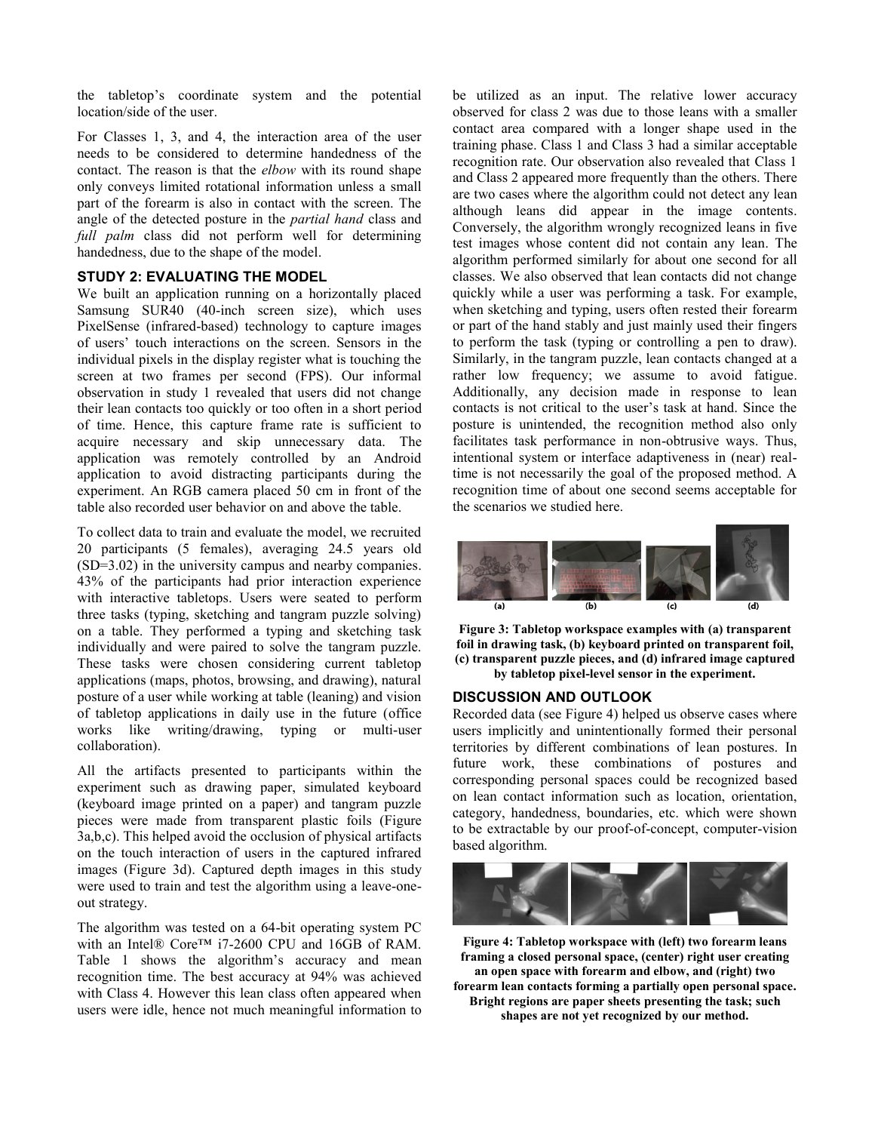the tabletop's coordinate system and the potential location/side of the user.

For Classes 1, 3, and 4, the interaction area of the user needs to be considered to determine handedness of the contact. The reason is that the *elbow* with its round shape only conveys limited rotational information unless a small part of the forearm is also in contact with the screen. The angle of the detected posture in the *partial hand* class and *full palm* class did not perform well for determining handedness, due to the shape of the model.

## **STUDY 2: EVALUATING THE MODEL**

We built an application running on a horizontally placed Samsung SUR40 (40-inch screen size), which uses PixelSense (infrared-based) technology to capture images of users' touch interactions on the screen. Sensors in the individual pixels in the display register what is touching the screen at two frames per second (FPS). Our informal observation in study 1 revealed that users did not change their lean contacts too quickly or too often in a short period of time. Hence, this capture frame rate is sufficient to acquire necessary and skip unnecessary data. The application was remotely controlled by an Android application to avoid distracting participants during the experiment. An RGB camera placed 50 cm in front of the table also recorded user behavior on and above the table.

To collect data to train and evaluate the model, we recruited 20 participants (5 females), averaging 24.5 years old (SD=3.02) in the university campus and nearby companies. 43% of the participants had prior interaction experience with interactive tabletops. Users were seated to perform three tasks (typing, sketching and tangram puzzle solving) on a table. They performed a typing and sketching task individually and were paired to solve the tangram puzzle. These tasks were chosen considering current tabletop applications (maps, photos, browsing, and drawing), natural posture of a user while working at table (leaning) and vision of tabletop applications in daily use in the future (office works like writing/drawing, typing or multi-user collaboration).

All the artifacts presented to participants within the experiment such as drawing paper, simulated keyboard (keyboard image printed on a paper) and tangram puzzle pieces were made from transparent plastic foils [\(Figure](#page-2-0)  [3a](#page-2-0),b,c). This helped avoid the occlusion of physical artifacts on the touch interaction of users in the captured infrared images [\(Figure 3d](#page-2-0)). Captured depth images in this study were used to train and test the algorithm using a leave-oneout strategy.

The algorithm was tested on a 64-bit operating system PC with an Intel® Core™ i7-2600 CPU and 16GB of RAM. Table 1 shows the algorithm's accuracy and mean recognition time. The best accuracy at 94% was achieved with Class 4. However this lean class often appeared when users were idle, hence not much meaningful information to

be utilized as an input. The relative lower accuracy observed for class 2 was due to those leans with a smaller contact area compared with a longer shape used in the training phase. Class 1 and Class 3 had a similar acceptable recognition rate. Our observation also revealed that Class 1 and Class 2 appeared more frequently than the others. There are two cases where the algorithm could not detect any lean although leans did appear in the image contents. Conversely, the algorithm wrongly recognized leans in five test images whose content did not contain any lean. The algorithm performed similarly for about one second for all classes. We also observed that lean contacts did not change quickly while a user was performing a task. For example, when sketching and typing, users often rested their forearm or part of the hand stably and just mainly used their fingers to perform the task (typing or controlling a pen to draw). Similarly, in the tangram puzzle, lean contacts changed at a rather low frequency; we assume to avoid fatigue. Additionally, any decision made in response to lean contacts is not critical to the user's task at hand. Since the posture is unintended, the recognition method also only facilitates task performance in non-obtrusive ways. Thus, intentional system or interface adaptiveness in (near) realtime is not necessarily the goal of the proposed method. A recognition time of about one second seems acceptable for the scenarios we studied here.



<span id="page-2-0"></span>**Figure 3: Tabletop workspace examples with (a) transparent foil in drawing task, (b) keyboard printed on transparent foil, (c) transparent puzzle pieces, and (d) infrared image captured by tabletop pixel-level sensor in the experiment.**

#### **DISCUSSION AND OUTLOOK**

Recorded data (se[e Figure 4\)](#page-2-1) helped us observe cases where users implicitly and unintentionally formed their personal territories by different combinations of lean postures. In future work, these combinations of postures and corresponding personal spaces could be recognized based on lean contact information such as location, orientation, category, handedness, boundaries, etc. which were shown to be extractable by our proof-of-concept, computer-vision based algorithm.

<span id="page-2-1"></span>

**Figure 4: Tabletop workspace with (left) two forearm leans framing a closed personal space, (center) right user creating an open space with forearm and elbow, and (right) two forearm lean contacts forming a partially open personal space. Bright regions are paper sheets presenting the task; such shapes are not yet recognized by our method.**